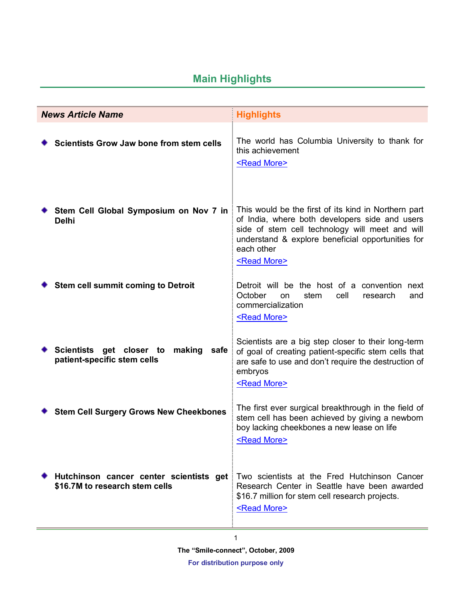# **Main Highlights**

| <b>News Article Name</b> |                                                                                     | <b>Highlights</b>                                                                                                                                                                                                                                     |
|--------------------------|-------------------------------------------------------------------------------------|-------------------------------------------------------------------------------------------------------------------------------------------------------------------------------------------------------------------------------------------------------|
|                          | <b>Scientists Grow Jaw bone from stem cells</b>                                     | The world has Columbia University to thank for<br>this achievement<br><read more=""></read>                                                                                                                                                           |
|                          | Stem Cell Global Symposium on Nov 7 in<br><b>Delhi</b>                              | This would be the first of its kind in Northern part<br>of India, where both developers side and users<br>side of stem cell technology will meet and will<br>understand & explore beneficial opportunities for<br>each other<br><read more=""></read> |
|                          | <b>Stem cell summit coming to Detroit</b>                                           | Detroit will be the host of a convention next<br>October<br>stem<br>cell<br>research<br>and<br>on<br>commercialization<br><read more=""></read>                                                                                                       |
|                          | <b>Scientists</b><br>get closer to<br>making<br>safe<br>patient-specific stem cells | Scientists are a big step closer to their long-term<br>of goal of creating patient-specific stem cells that<br>are safe to use and don't require the destruction of<br>embryos<br><read more=""></read>                                               |
|                          | <b>Stem Cell Surgery Grows New Cheekbones</b>                                       | The first ever surgical breakthrough in the field of<br>stem cell has been achieved by giving a newborn<br>boy lacking cheekbones a new lease on life<br><read more=""></read>                                                                        |
|                          | Hutchinson cancer center scientists get<br>\$16.7M to research stem cells           | Two scientists at the Fred Hutchinson Cancer<br>Research Center in Seattle have been awarded<br>\$16.7 million for stem cell research projects.<br><read more=""></read>                                                                              |

1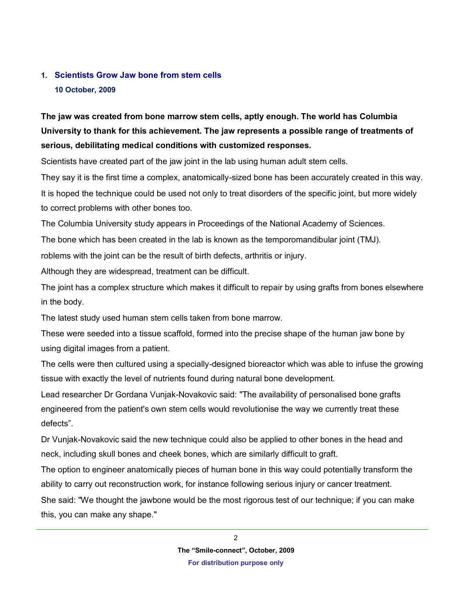# <span id="page-1-0"></span>**1. Scientists Grow Jaw bone from stem cells 10 October, 2009**

# **The jaw was created from bone marrow stem cells, aptly enough. The world has Columbia University to thank for this achievement. The jaw represents a possible range of treatments of serious, debilitating medical conditions with customized responses.**

Scientists have created part of the jaw joint in the lab using human adult stem cells.

They say it is the first time a complex, anatomically-sized bone has been accurately created in this way. It is hoped the technique could be used not only to treat disorders of the specific joint, but more widely to correct problems with other bones too.

The Columbia University study appears in Proceedings of the National Academy of Sciences.

The bone which has been created in the lab is known as the temporomandibular joint (TMJ).

roblems with the joint can be the result of birth defects, arthritis or injury.

Although they are widespread, treatment can be difficult.

The joint has a complex structure which makes it difficult to repair by using grafts from bones elsewhere in the body.

The latest study used human stem cells taken from bone marrow.

These were seeded into a tissue scaffold, formed into the precise shape of the human jaw bone by using digital images from a patient.

The cells were then cultured using a specially-designed bioreactor which was able to infuse the growing tissue with exactly the level of nutrients found during natural bone development.

Lead researcher Dr Gordana Vunjak-Novakovic said: "The availability of personalised bone grafts engineered from the patient's own stem cells would revolutionise the way we currently treat these defects".

Dr Vunjak-Novakovic said the new technique could also be applied to other bones in the head and neck, including skull bones and cheek bones, which are similarly difficult to graft.

The option to engineer anatomically pieces of human bone in this way could potentially transform the ability to carry out reconstruction work, for instance following serious injury or cancer treatment.

She said: "We thought the jawbone would be the most rigorous test of our technique; if you can make this, you can make any shape."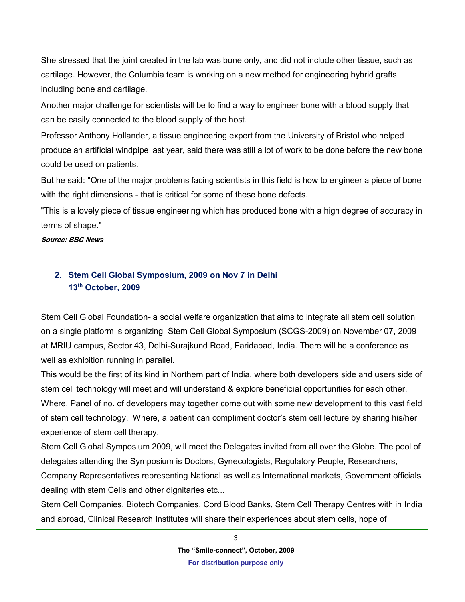She stressed that the joint created in the lab was bone only, and did not include other tissue, such as cartilage. However, the Columbia team is working on a new method for engineering hybrid grafts including bone and cartilage.

Another major challenge for scientists will be to find a way to engineer bone with a blood supply that can be easily connected to the blood supply of the host.

Professor Anthony Hollander, a tissue engineering expert from the University of Bristol who helped produce an artificial windpipe last year, said there was still a lot of work to be done before the new bone could be used on patients.

But he said: "One of the major problems facing scientists in this field is how to engineer a piece of bone with the right dimensions - that is critical for some of these bone defects.

"This is a lovely piece of tissue engineering which has produced bone with a high degree of accuracy in terms of shape."

**Source: BBC News** 

# <span id="page-2-0"></span>**2. Stem Cell Global Symposium, 2009 on Nov 7 in Delhi 13th October, 2009**

Stem Cell Global Foundation- a social welfare organization that aims to integrate all stem cell solution on a single platform is organizing Stem Cell Global Symposium (SCGS-2009) on November 07, 2009 at MRIU campus, Sector 43, Delhi-Surajkund Road, Faridabad, India. There will be a conference as well as exhibition running in parallel.

This would be the first of its kind in Northern part of India, where both developers side and users side of stem cell technology will meet and will understand & explore beneficial opportunities for each other. Where, Panel of no. of developers may together come out with some new development to this vast field of stem cell technology. Where, a patient can compliment doctor's stem cell lecture by sharing his/her experience of stem cell therapy.

Stem Cell Global Symposium 2009, will meet the Delegates invited from all over the Globe. The pool of delegates attending the Symposium is Doctors, Gynecologists, Regulatory People, Researchers,

Company Representatives representing National as well as International markets, Government officials dealing with stem Cells and other dignitaries etc...

Stem Cell Companies, Biotech Companies, Cord Blood Banks, Stem Cell Therapy Centres with in India and abroad, Clinical Research Institutes will share their experiences about stem cells, hope of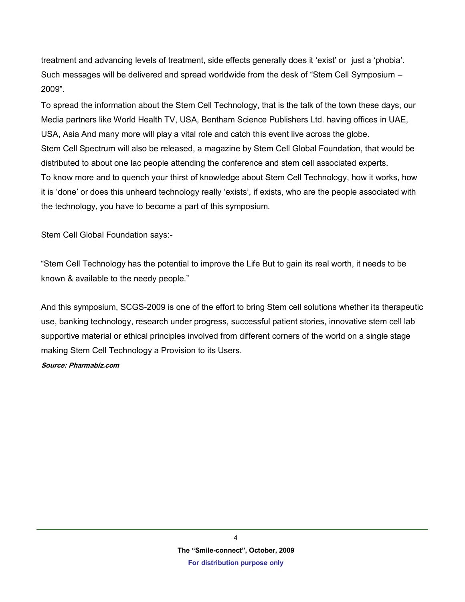treatment and advancing levels of treatment, side effects generally does it 'exist' or just a 'phobia'. Such messages will be delivered and spread worldwide from the desk of "Stem Cell Symposium – 2009".

To spread the information about the Stem Cell Technology, that is the talk of the town these days, our Media partners like World Health TV, USA, Bentham Science Publishers Ltd. having offices in UAE, USA, Asia And many more will play a vital role and catch this event live across the globe. Stem Cell Spectrum will also be released, a magazine by Stem Cell Global Foundation, that would be distributed to about one lac people attending the conference and stem cell associated experts. To know more and to quench your thirst of knowledge about Stem Cell Technology, how it works, how it is 'done' or does this unheard technology really 'exists', if exists, who are the people associated with the technology, you have to become a part of this symposium.

Stem Cell Global Foundation says:-

"Stem Cell Technology has the potential to improve the Life But to gain its real worth, it needs to be known & available to the needy people."

And this symposium, SCGS-2009 is one of the effort to bring Stem cell solutions whether its therapeutic use, banking technology, research under progress, successful patient stories, innovative stem cell lab supportive material or ethical principles involved from different corners of the world on a single stage making Stem Cell Technology a Provision to its Users.

**Source: Pharmabiz.com**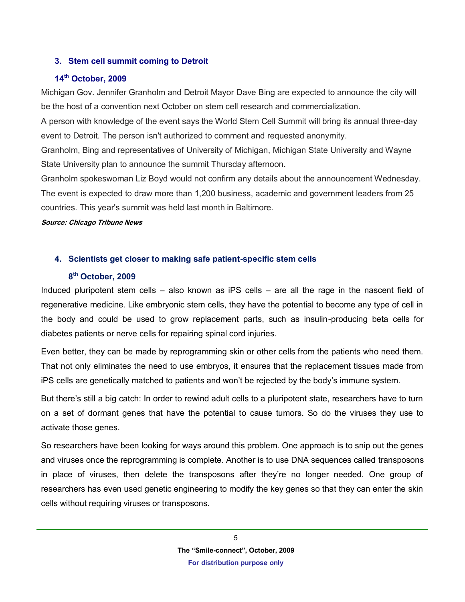### <span id="page-4-0"></span>**3. Stem cell summit coming to Detroit**

### **14th October, 2009**

Michigan Gov. Jennifer Granholm and Detroit Mayor Dave Bing are expected to announce the city will be the host of a convention next October on stem cell research and commercialization.

A person with knowledge of the event says the World Stem Cell Summit will bring its annual three-day event to Detroit. The person isn't authorized to comment and requested anonymity.

Granholm, Bing and representatives of University of Michigan, Michigan State University and Wayne State University plan to announce the summit Thursday afternoon.

Granholm spokeswoman Liz Boyd would not confirm any details about the announcement Wednesday. The event is expected to draw more than 1,200 business, academic and government leaders from 25 countries. This year's summit was held last month in Baltimore.

#### **Source: Chicago Tribune News**

## <span id="page-4-1"></span>**4. Scientists get closer to making safe patient-specific stem cells**

### **8 th October, 2009**

Induced pluripotent stem cells – also known as iPS cells – are all the rage in the nascent field of regenerative medicine. Like embryonic stem cells, they have the potential to become any type of cell in the body and could be used to grow replacement parts, such as insulin-producing beta cells for diabetes patients or nerve cells for repairing spinal cord injuries.

Even better, they can be made by reprogramming skin or other cells from the patients who need them. That not only eliminates the need to use embryos, it ensures that the replacement tissues made from iPS cells are genetically matched to patients and won't be rejected by the body's immune system.

But there's still a big catch: In order to rewind adult cells to a pluripotent state, researchers have to turn on a set of dormant genes that have the potential to cause tumors. So do the viruses they use to activate those genes.

So researchers have been looking for ways around this problem. One approach is to snip out the genes and viruses once the reprogramming is complete. Another is to use DNA sequences called transposons in place of viruses, then delete the transposons after they're no longer needed. One group of researchers has even used genetic engineering to modify the key genes so that they can enter the skin cells without requiring viruses or transposons.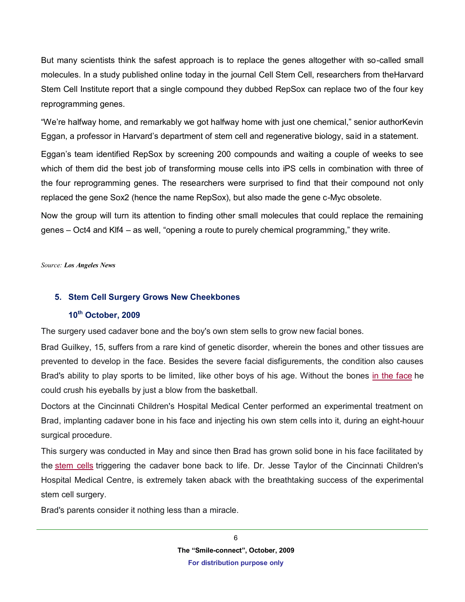But many scientists think the safest approach is to replace the genes altogether with so-called small molecules. In a study published online today in the journal Cell Stem Cell, researchers from theHarvard Stem Cell Institute report that a single compound they dubbed RepSox can replace two of the four key reprogramming genes.

"We're halfway home, and remarkably we got halfway home with just one chemical," senior authorKevin Eggan, a professor in Harvard's department of stem cell and regenerative biology, said in a statement.

Eggan's team identified RepSox by screening 200 compounds and waiting a couple of weeks to see which of them did the best job of transforming mouse cells into iPS cells in combination with three of the four reprogramming genes. The researchers were surprised to find that their compound not only replaced the gene Sox2 (hence the name RepSox), but also made the gene c-Myc obsolete.

Now the group will turn its attention to finding other small molecules that could replace the remaining genes – Oct4 and Klf4 – as well, "opening a route to purely chemical programming," they write.

*Source: Los Angeles News* 

#### <span id="page-5-0"></span>**5. Stem Cell Surgery Grows New Cheekbones**

#### **10th October, 2009**

The surgery used cadaver bone and the boy's own stem sells to grow new facial bones.

Brad Guilkey, 15, suffers from a rare kind of genetic disorder, wherein the bones and other tissues are prevented to develop in the face. Besides the severe facial disfigurements, the condition also causes Brad's ability to play sports to be limited, like other boys of his age. Without the bones in the face he could crush his eyeballs by just a blow from the basketball.

Doctors at the Cincinnati Children's Hospital Medical Center performed an experimental treatment on Brad, implanting cadaver bone in his face and injecting his own stem cells into it, during an eight-houur surgical procedure.

This surgery was conducted in May and since then Brad has grown solid bone in his face facilitated by the stem cells triggering the cadaver bone back to life. Dr. Jesse Taylor of the Cincinnati Children's Hospital Medical Centre, is extremely taken aback with the breathtaking success of the experimental stem cell surgery.

Brad's parents consider it nothing less than a miracle.